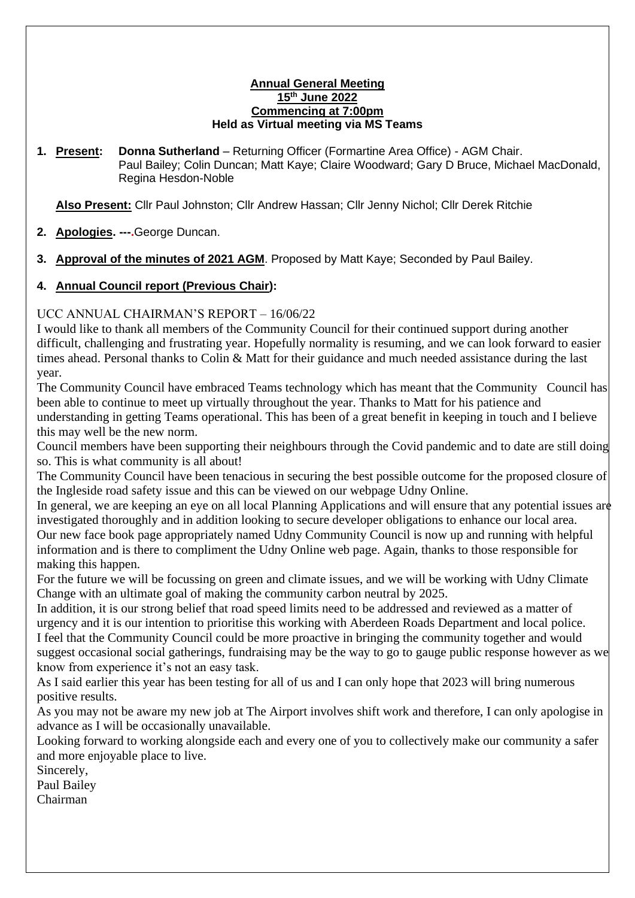#### **Annual General Meeting 15th June 2022 Commencing at 7:00pm Held as Virtual meeting via MS Teams**

**1. Present: Donna Sutherland** – Returning Officer (Formartine Area Office) - AGM Chair. Paul Bailey; Colin Duncan; Matt Kaye; Claire Woodward; Gary D Bruce, Michael MacDonald, Regina Hesdon-Noble

**Also Present:** Cllr Paul Johnston; Cllr Andrew Hassan; Cllr Jenny Nichol; Cllr Derek Ritchie

- **2. Apologies. ---.**George Duncan.
- **3. Approval of the minutes of 2021 AGM**. Proposed by Matt Kaye; Seconded by Paul Bailey.

# **4. Annual Council report (Previous Chair):**

## UCC ANNUAL CHAIRMAN'S REPORT – 16/06/22

I would like to thank all members of the Community Council for their continued support during another difficult, challenging and frustrating year. Hopefully normality is resuming, and we can look forward to easier times ahead. Personal thanks to Colin & Matt for their guidance and much needed assistance during the last year.

The Community Council have embraced Teams technology which has meant that the Community Council has been able to continue to meet up virtually throughout the year. Thanks to Matt for his patience and understanding in getting Teams operational. This has been of a great benefit in keeping in touch and I believe this may well be the new norm.

Council members have been supporting their neighbours through the Covid pandemic and to date are still doing so. This is what community is all about!

The Community Council have been tenacious in securing the best possible outcome for the proposed closure of the Ingleside road safety issue and this can be viewed on our webpage Udny Online.

In general, we are keeping an eye on all local Planning Applications and will ensure that any potential issues are investigated thoroughly and in addition looking to secure developer obligations to enhance our local area. Our new face book page appropriately named Udny Community Council is now up and running with helpful information and is there to compliment the Udny Online web page. Again, thanks to those responsible for making this happen.

For the future we will be focussing on green and climate issues, and we will be working with Udny Climate Change with an ultimate goal of making the community carbon neutral by 2025.

In addition, it is our strong belief that road speed limits need to be addressed and reviewed as a matter of urgency and it is our intention to prioritise this working with Aberdeen Roads Department and local police. I feel that the Community Council could be more proactive in bringing the community together and would suggest occasional social gatherings, fundraising may be the way to go to gauge public response however as we know from experience it's not an easy task.

As I said earlier this year has been testing for all of us and I can only hope that 2023 will bring numerous positive results.

As you may not be aware my new job at The Airport involves shift work and therefore, I can only apologise in advance as I will be occasionally unavailable.

Looking forward to working alongside each and every one of you to collectively make our community a safer and more enjoyable place to live.

Sincerely,

Paul Bailey

Chairman